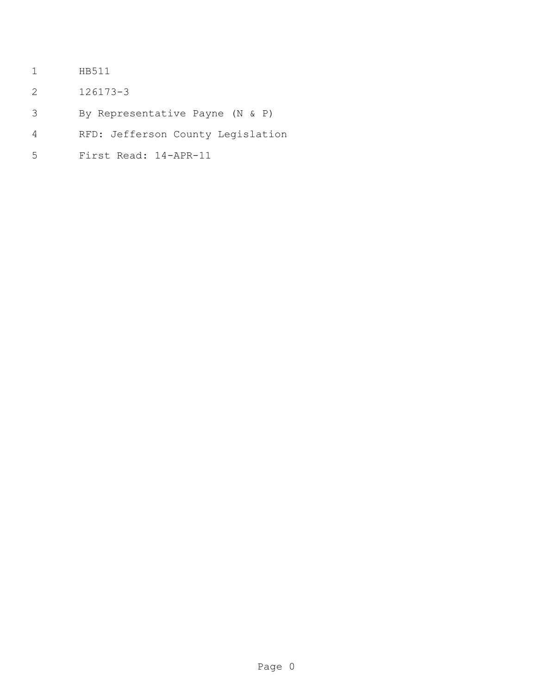- HB511
- 126173-3
- By Representative Payne (N & P)
- RFD: Jefferson County Legislation
- First Read: 14-APR-11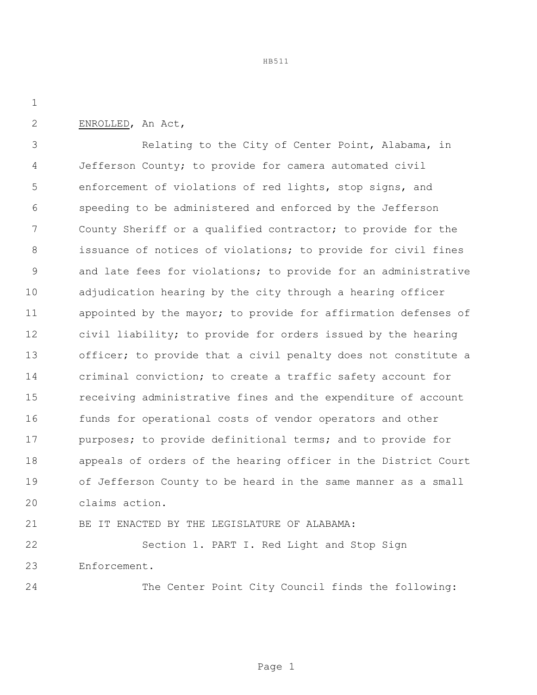ENROLLED, An Act,

 Relating to the City of Center Point, Alabama, in Jefferson County; to provide for camera automated civil enforcement of violations of red lights, stop signs, and speeding to be administered and enforced by the Jefferson County Sheriff or a qualified contractor; to provide for the 8 issuance of notices of violations; to provide for civil fines and late fees for violations; to provide for an administrative adjudication hearing by the city through a hearing officer appointed by the mayor; to provide for affirmation defenses of civil liability; to provide for orders issued by the hearing officer; to provide that a civil penalty does not constitute a criminal conviction; to create a traffic safety account for receiving administrative fines and the expenditure of account funds for operational costs of vendor operators and other 17 purposes; to provide definitional terms; and to provide for appeals of orders of the hearing officer in the District Court of Jefferson County to be heard in the same manner as a small claims action.

BE IT ENACTED BY THE LEGISLATURE OF ALABAMA:

 Section 1. PART I. Red Light and Stop Sign Enforcement.

The Center Point City Council finds the following: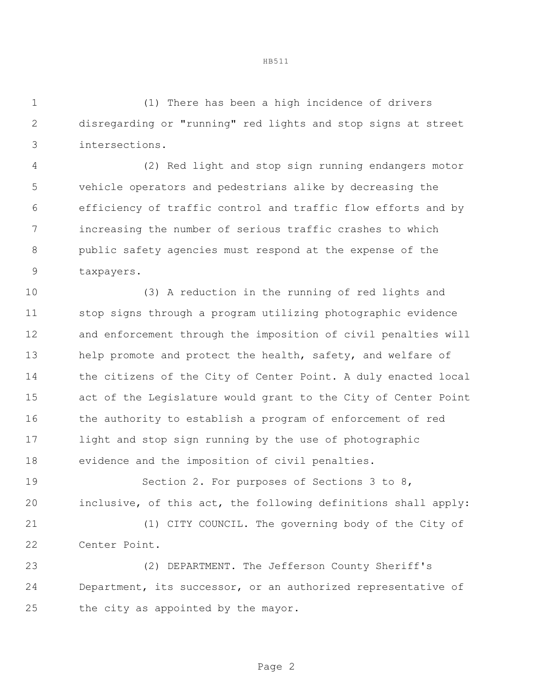(1) There has been a high incidence of drivers disregarding or "running" red lights and stop signs at street intersections.

 (2) Red light and stop sign running endangers motor vehicle operators and pedestrians alike by decreasing the efficiency of traffic control and traffic flow efforts and by increasing the number of serious traffic crashes to which public safety agencies must respond at the expense of the taxpayers.

 (3) A reduction in the running of red lights and stop signs through a program utilizing photographic evidence and enforcement through the imposition of civil penalties will 13 help promote and protect the health, safety, and welfare of the citizens of the City of Center Point. A duly enacted local act of the Legislature would grant to the City of Center Point the authority to establish a program of enforcement of red light and stop sign running by the use of photographic evidence and the imposition of civil penalties.

19 Section 2. For purposes of Sections 3 to 8, inclusive, of this act, the following definitions shall apply:

 (1) CITY COUNCIL. The governing body of the City of Center Point.

 (2) DEPARTMENT. The Jefferson County Sheriff's Department, its successor, or an authorized representative of the city as appointed by the mayor.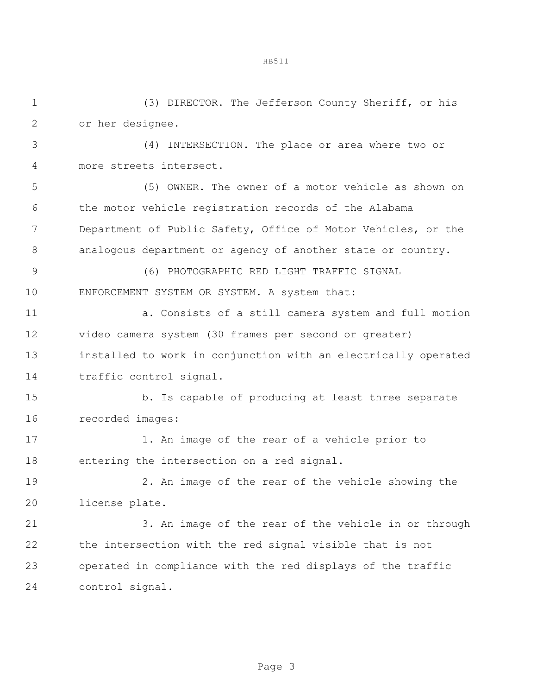(3) DIRECTOR. The Jefferson County Sheriff, or his

 or her designee. (4) INTERSECTION. The place or area where two or more streets intersect. (5) OWNER. The owner of a motor vehicle as shown on the motor vehicle registration records of the Alabama Department of Public Safety, Office of Motor Vehicles, or the 8 analogous department or agency of another state or country. (6) PHOTOGRAPHIC RED LIGHT TRAFFIC SIGNAL ENFORCEMENT SYSTEM OR SYSTEM. A system that: 11 a. Consists of a still camera system and full motion video camera system (30 frames per second or greater) installed to work in conjunction with an electrically operated traffic control signal. 15 b. Is capable of producing at least three separate recorded images: 1. An image of the rear of a vehicle prior to entering the intersection on a red signal. 2. An image of the rear of the vehicle showing the license plate. 3. An image of the rear of the vehicle in or through the intersection with the red signal visible that is not operated in compliance with the red displays of the traffic control signal.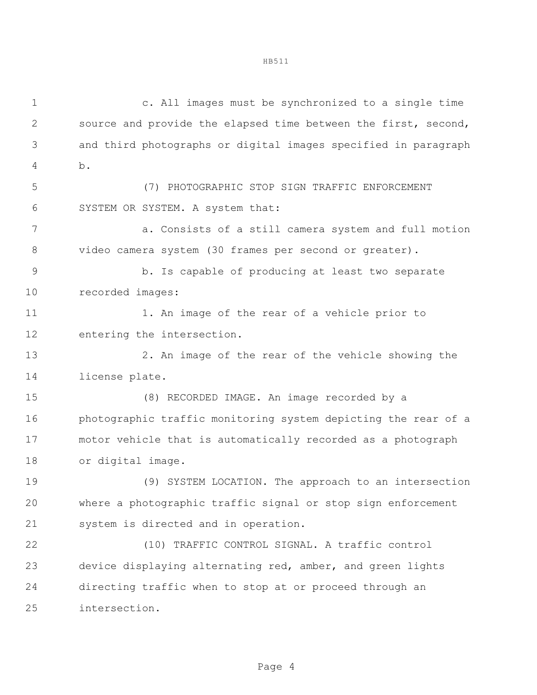c. All images must be synchronized to a single time source and provide the elapsed time between the first, second, and third photographs or digital images specified in paragraph b. (7) PHOTOGRAPHIC STOP SIGN TRAFFIC ENFORCEMENT SYSTEM OR SYSTEM. A system that: a. Consists of a still camera system and full motion video camera system (30 frames per second or greater). b. Is capable of producing at least two separate recorded images: 11 1. An image of the rear of a vehicle prior to entering the intersection. 2. An image of the rear of the vehicle showing the license plate. (8) RECORDED IMAGE. An image recorded by a photographic traffic monitoring system depicting the rear of a motor vehicle that is automatically recorded as a photograph or digital image. (9) SYSTEM LOCATION. The approach to an intersection where a photographic traffic signal or stop sign enforcement system is directed and in operation. (10) TRAFFIC CONTROL SIGNAL. A traffic control device displaying alternating red, amber, and green lights directing traffic when to stop at or proceed through an intersection.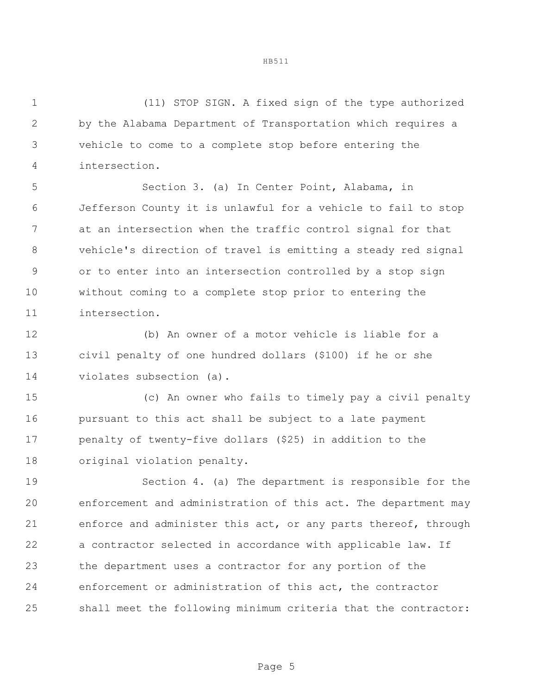(11) STOP SIGN. A fixed sign of the type authorized by the Alabama Department of Transportation which requires a vehicle to come to a complete stop before entering the intersection.

 Section 3. (a) In Center Point, Alabama, in Jefferson County it is unlawful for a vehicle to fail to stop at an intersection when the traffic control signal for that vehicle's direction of travel is emitting a steady red signal or to enter into an intersection controlled by a stop sign without coming to a complete stop prior to entering the intersection.

 (b) An owner of a motor vehicle is liable for a civil penalty of one hundred dollars (\$100) if he or she violates subsection (a).

 (c) An owner who fails to timely pay a civil penalty pursuant to this act shall be subject to a late payment penalty of twenty-five dollars (\$25) in addition to the original violation penalty.

 Section 4. (a) The department is responsible for the enforcement and administration of this act. The department may enforce and administer this act, or any parts thereof, through a contractor selected in accordance with applicable law. If the department uses a contractor for any portion of the enforcement or administration of this act, the contractor shall meet the following minimum criteria that the contractor: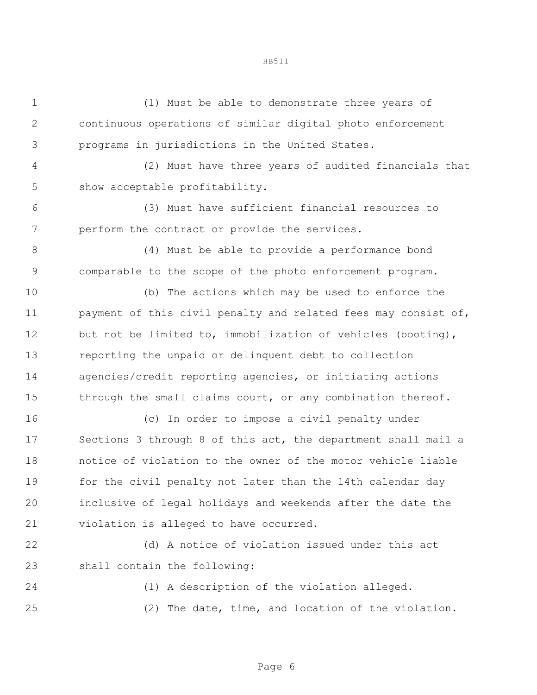(1) Must be able to demonstrate three years of continuous operations of similar digital photo enforcement programs in jurisdictions in the United States.

 (2) Must have three years of audited financials that show acceptable profitability.

 (3) Must have sufficient financial resources to perform the contract or provide the services.

 (4) Must be able to provide a performance bond comparable to the scope of the photo enforcement program.

 (b) The actions which may be used to enforce the payment of this civil penalty and related fees may consist of, 12 but not be limited to, immobilization of vehicles (booting), reporting the unpaid or delinquent debt to collection agencies/credit reporting agencies, or initiating actions 15 through the small claims court, or any combination thereof.

 (c) In order to impose a civil penalty under Sections 3 through 8 of this act, the department shall mail a notice of violation to the owner of the motor vehicle liable for the civil penalty not later than the 14th calendar day inclusive of legal holidays and weekends after the date the violation is alleged to have occurred.

 (d) A notice of violation issued under this act shall contain the following:

 (1) A description of the violation alleged. (2) The date, time, and location of the violation.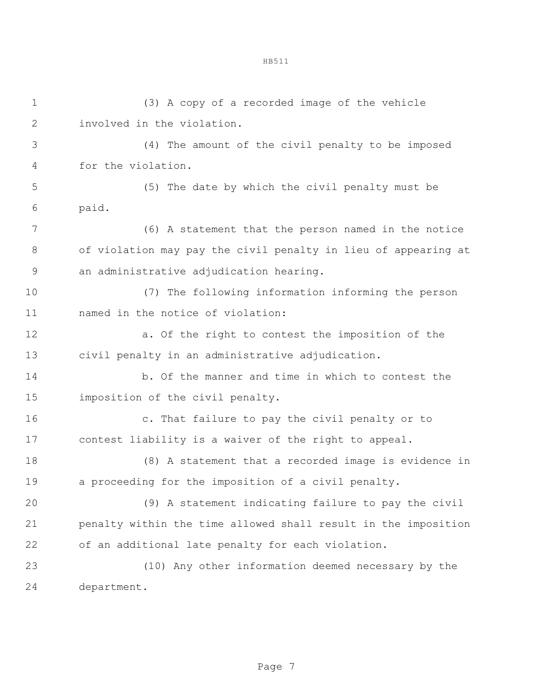(3) A copy of a recorded image of the vehicle involved in the violation. (4) The amount of the civil penalty to be imposed for the violation. (5) The date by which the civil penalty must be paid. (6) A statement that the person named in the notice of violation may pay the civil penalty in lieu of appearing at an administrative adjudication hearing. (7) The following information informing the person named in the notice of violation: a. Of the right to contest the imposition of the civil penalty in an administrative adjudication. b. Of the manner and time in which to contest the imposition of the civil penalty. c. That failure to pay the civil penalty or to contest liability is a waiver of the right to appeal. (8) A statement that a recorded image is evidence in a proceeding for the imposition of a civil penalty. (9) A statement indicating failure to pay the civil penalty within the time allowed shall result in the imposition of an additional late penalty for each violation. (10) Any other information deemed necessary by the department.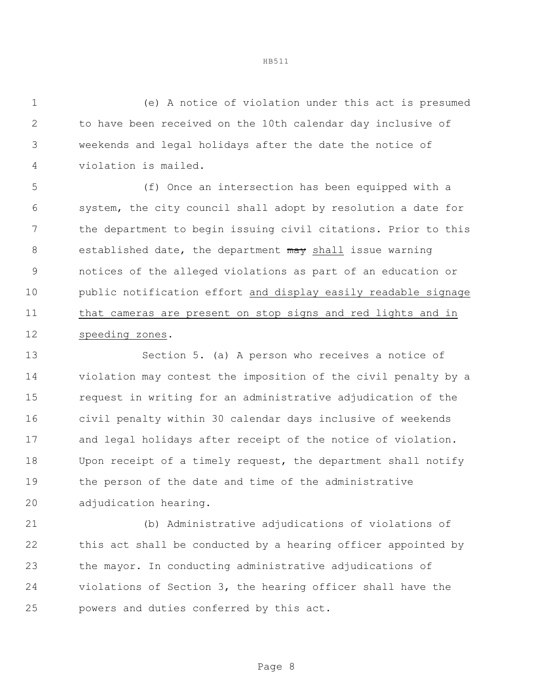(e) A notice of violation under this act is presumed to have been received on the 10th calendar day inclusive of weekends and legal holidays after the date the notice of violation is mailed.

 (f) Once an intersection has been equipped with a system, the city council shall adopt by resolution a date for the department to begin issuing civil citations. Prior to this 8 established date, the department may shall issue warning notices of the alleged violations as part of an education or public notification effort and display easily readable signage that cameras are present on stop signs and red lights and in speeding zones.

 Section 5. (a) A person who receives a notice of violation may contest the imposition of the civil penalty by a request in writing for an administrative adjudication of the civil penalty within 30 calendar days inclusive of weekends and legal holidays after receipt of the notice of violation. Upon receipt of a timely request, the department shall notify the person of the date and time of the administrative adjudication hearing.

 (b) Administrative adjudications of violations of this act shall be conducted by a hearing officer appointed by the mayor. In conducting administrative adjudications of violations of Section 3, the hearing officer shall have the powers and duties conferred by this act.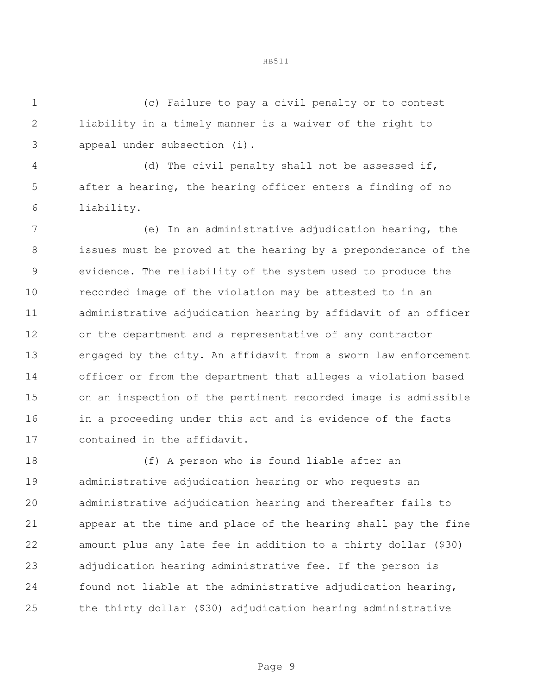(c) Failure to pay a civil penalty or to contest liability in a timely manner is a waiver of the right to appeal under subsection (i).

 (d) The civil penalty shall not be assessed if, after a hearing, the hearing officer enters a finding of no liability.

 (e) In an administrative adjudication hearing, the issues must be proved at the hearing by a preponderance of the evidence. The reliability of the system used to produce the recorded image of the violation may be attested to in an administrative adjudication hearing by affidavit of an officer or the department and a representative of any contractor engaged by the city. An affidavit from a sworn law enforcement officer or from the department that alleges a violation based on an inspection of the pertinent recorded image is admissible in a proceeding under this act and is evidence of the facts contained in the affidavit.

 (f) A person who is found liable after an administrative adjudication hearing or who requests an administrative adjudication hearing and thereafter fails to appear at the time and place of the hearing shall pay the fine amount plus any late fee in addition to a thirty dollar (\$30) adjudication hearing administrative fee. If the person is found not liable at the administrative adjudication hearing, the thirty dollar (\$30) adjudication hearing administrative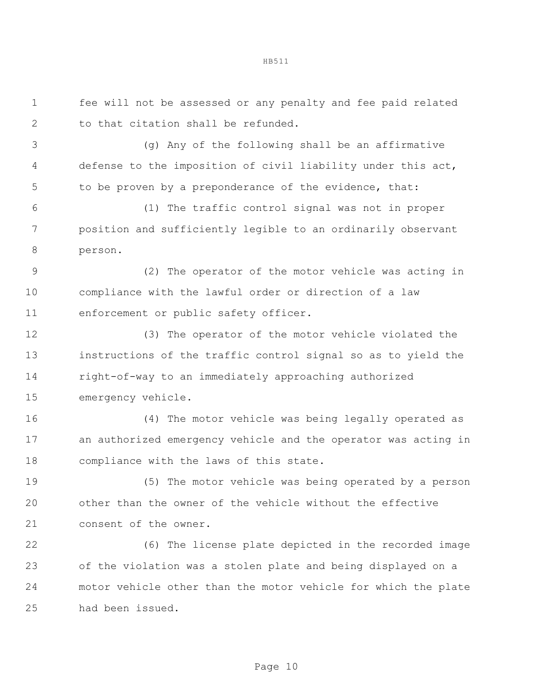fee will not be assessed or any penalty and fee paid related to that citation shall be refunded. (g) Any of the following shall be an affirmative defense to the imposition of civil liability under this act, to be proven by a preponderance of the evidence, that: (1) The traffic control signal was not in proper position and sufficiently legible to an ordinarily observant person. (2) The operator of the motor vehicle was acting in compliance with the lawful order or direction of a law enforcement or public safety officer. (3) The operator of the motor vehicle violated the instructions of the traffic control signal so as to yield the right-of-way to an immediately approaching authorized emergency vehicle. (4) The motor vehicle was being legally operated as an authorized emergency vehicle and the operator was acting in compliance with the laws of this state. (5) The motor vehicle was being operated by a person other than the owner of the vehicle without the effective consent of the owner. (6) The license plate depicted in the recorded image of the violation was a stolen plate and being displayed on a motor vehicle other than the motor vehicle for which the plate had been issued.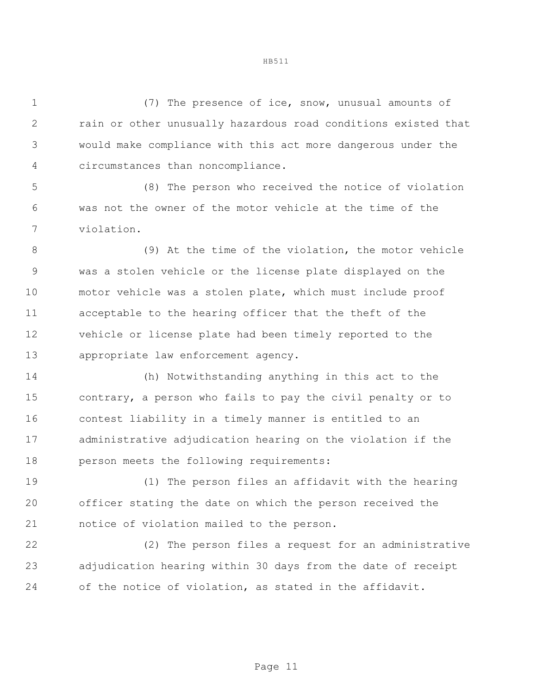(7) The presence of ice, snow, unusual amounts of rain or other unusually hazardous road conditions existed that would make compliance with this act more dangerous under the circumstances than noncompliance.

 (8) The person who received the notice of violation was not the owner of the motor vehicle at the time of the violation.

8 (9) At the time of the violation, the motor vehicle was a stolen vehicle or the license plate displayed on the motor vehicle was a stolen plate, which must include proof acceptable to the hearing officer that the theft of the vehicle or license plate had been timely reported to the appropriate law enforcement agency.

 (h) Notwithstanding anything in this act to the contrary, a person who fails to pay the civil penalty or to contest liability in a timely manner is entitled to an administrative adjudication hearing on the violation if the person meets the following requirements:

 (1) The person files an affidavit with the hearing officer stating the date on which the person received the notice of violation mailed to the person.

 (2) The person files a request for an administrative adjudication hearing within 30 days from the date of receipt of the notice of violation, as stated in the affidavit.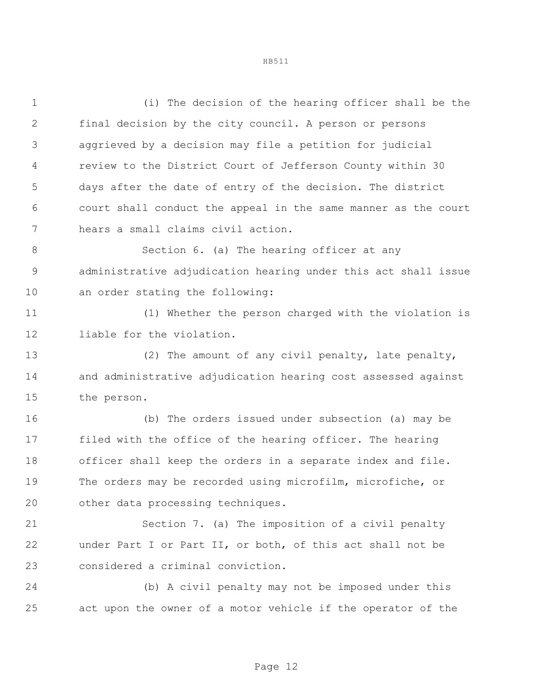(i) The decision of the hearing officer shall be the final decision by the city council. A person or persons aggrieved by a decision may file a petition for judicial review to the District Court of Jefferson County within 30 days after the date of entry of the decision. The district court shall conduct the appeal in the same manner as the court hears a small claims civil action. Section 6. (a) The hearing officer at any administrative adjudication hearing under this act shall issue an order stating the following: (1) Whether the person charged with the violation is liable for the violation. (2) The amount of any civil penalty, late penalty, and administrative adjudication hearing cost assessed against the person. (b) The orders issued under subsection (a) may be filed with the office of the hearing officer. The hearing officer shall keep the orders in a separate index and file. The orders may be recorded using microfilm, microfiche, or other data processing techniques. Section 7. (a) The imposition of a civil penalty under Part I or Part II, or both, of this act shall not be considered a criminal conviction. (b) A civil penalty may not be imposed under this

act upon the owner of a motor vehicle if the operator of the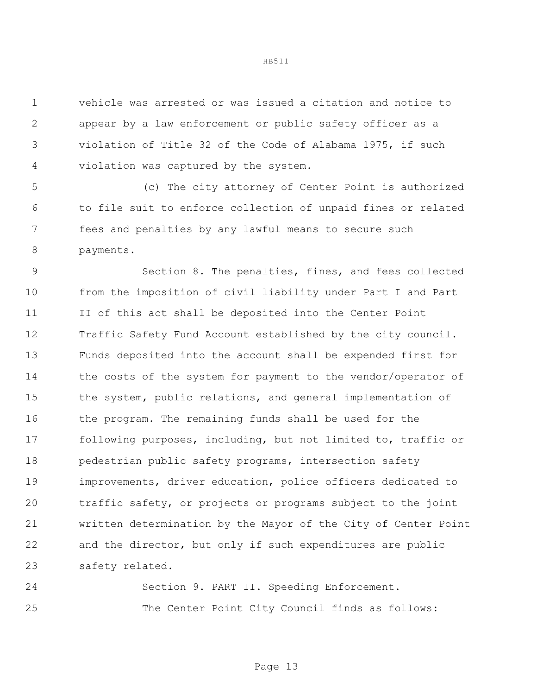vehicle was arrested or was issued a citation and notice to appear by a law enforcement or public safety officer as a violation of Title 32 of the Code of Alabama 1975, if such violation was captured by the system.

 (c) The city attorney of Center Point is authorized to file suit to enforce collection of unpaid fines or related fees and penalties by any lawful means to secure such payments.

 Section 8. The penalties, fines, and fees collected from the imposition of civil liability under Part I and Part II of this act shall be deposited into the Center Point Traffic Safety Fund Account established by the city council. Funds deposited into the account shall be expended first for the costs of the system for payment to the vendor/operator of the system, public relations, and general implementation of 16 the program. The remaining funds shall be used for the following purposes, including, but not limited to, traffic or 18 pedestrian public safety programs, intersection safety improvements, driver education, police officers dedicated to traffic safety, or projects or programs subject to the joint written determination by the Mayor of the City of Center Point and the director, but only if such expenditures are public safety related.

 Section 9. PART II. Speeding Enforcement. The Center Point City Council finds as follows: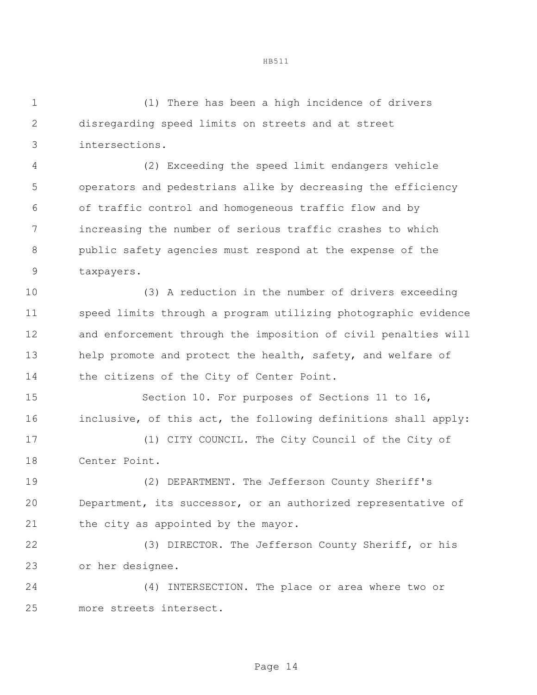(1) There has been a high incidence of drivers disregarding speed limits on streets and at street intersections.

 (2) Exceeding the speed limit endangers vehicle operators and pedestrians alike by decreasing the efficiency of traffic control and homogeneous traffic flow and by increasing the number of serious traffic crashes to which public safety agencies must respond at the expense of the taxpayers.

 (3) A reduction in the number of drivers exceeding speed limits through a program utilizing photographic evidence and enforcement through the imposition of civil penalties will 13 help promote and protect the health, safety, and welfare of 14 the citizens of the City of Center Point.

 Section 10. For purposes of Sections 11 to 16, inclusive, of this act, the following definitions shall apply:

 (1) CITY COUNCIL. The City Council of the City of Center Point.

 (2) DEPARTMENT. The Jefferson County Sheriff's Department, its successor, or an authorized representative of 21 the city as appointed by the mayor.

 (3) DIRECTOR. The Jefferson County Sheriff, or his or her designee.

 (4) INTERSECTION. The place or area where two or more streets intersect.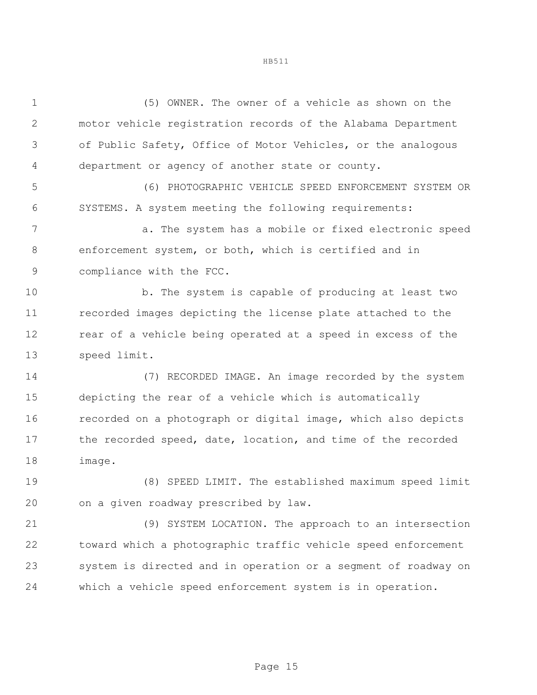(5) OWNER. The owner of a vehicle as shown on the motor vehicle registration records of the Alabama Department of Public Safety, Office of Motor Vehicles, or the analogous department or agency of another state or county.

 (6) PHOTOGRAPHIC VEHICLE SPEED ENFORCEMENT SYSTEM OR SYSTEMS. A system meeting the following requirements:

 a. The system has a mobile or fixed electronic speed enforcement system, or both, which is certified and in compliance with the FCC.

 b. The system is capable of producing at least two recorded images depicting the license plate attached to the rear of a vehicle being operated at a speed in excess of the speed limit.

 (7) RECORDED IMAGE. An image recorded by the system depicting the rear of a vehicle which is automatically recorded on a photograph or digital image, which also depicts 17 the recorded speed, date, location, and time of the recorded image.

 (8) SPEED LIMIT. The established maximum speed limit on a given roadway prescribed by law.

 (9) SYSTEM LOCATION. The approach to an intersection toward which a photographic traffic vehicle speed enforcement system is directed and in operation or a segment of roadway on which a vehicle speed enforcement system is in operation.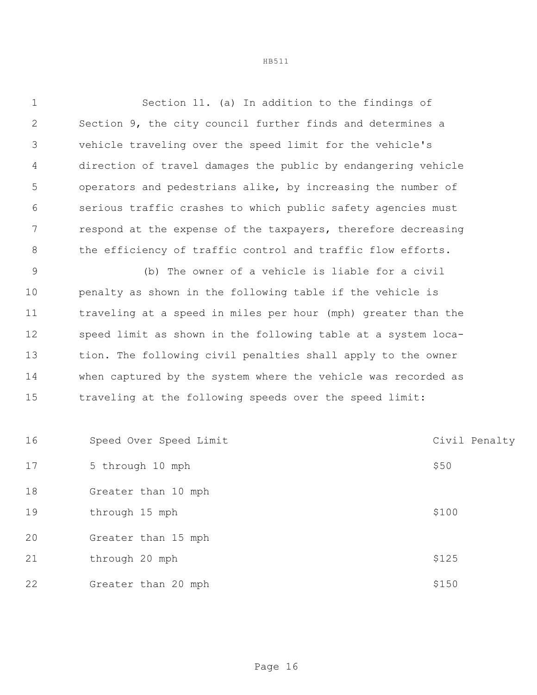Section 11. (a) In addition to the findings of Section 9, the city council further finds and determines a vehicle traveling over the speed limit for the vehicle's direction of travel damages the public by endangering vehicle operators and pedestrians alike, by increasing the number of serious traffic crashes to which public safety agencies must respond at the expense of the taxpayers, therefore decreasing 8 the efficiency of traffic control and traffic flow efforts.

 (b) The owner of a vehicle is liable for a civil penalty as shown in the following table if the vehicle is traveling at a speed in miles per hour (mph) greater than the speed limit as shown in the following table at a system loca- tion. The following civil penalties shall apply to the owner when captured by the system where the vehicle was recorded as traveling at the following speeds over the speed limit:

| 16 | Speed Over Speed Limit | Civil Penalty |
|----|------------------------|---------------|
| 17 | 5 through 10 mph       | \$50          |
| 18 | Greater than 10 mph    |               |
| 19 | through 15 mph         | \$100         |
| 20 | Greater than 15 mph    |               |
| 21 | through 20 mph         | \$125         |
| 22 | Greater than 20 mph    | \$150         |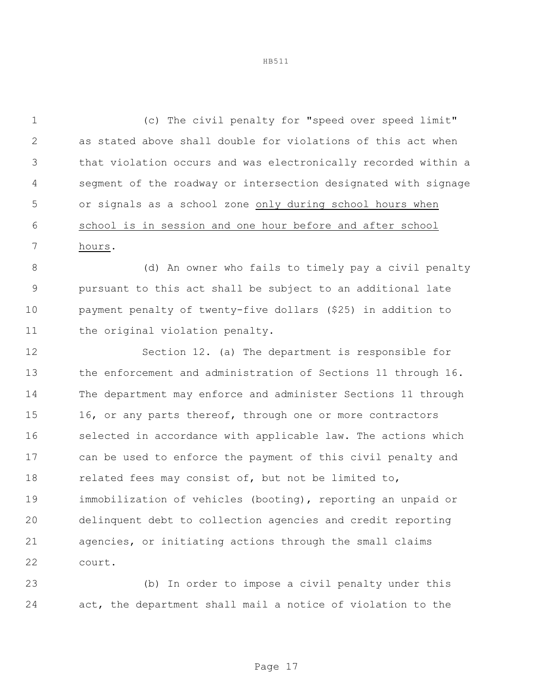(c) The civil penalty for "speed over speed limit" as stated above shall double for violations of this act when that violation occurs and was electronically recorded within a segment of the roadway or intersection designated with signage or signals as a school zone only during school hours when school is in session and one hour before and after school hours.

 (d) An owner who fails to timely pay a civil penalty pursuant to this act shall be subject to an additional late payment penalty of twenty-five dollars (\$25) in addition to 11 the original violation penalty.

 Section 12. (a) The department is responsible for the enforcement and administration of Sections 11 through 16. The department may enforce and administer Sections 11 through 15 16, or any parts thereof, through one or more contractors selected in accordance with applicable law. The actions which can be used to enforce the payment of this civil penalty and 18 related fees may consist of, but not be limited to, immobilization of vehicles (booting), reporting an unpaid or delinquent debt to collection agencies and credit reporting agencies, or initiating actions through the small claims court.

 (b) In order to impose a civil penalty under this act, the department shall mail a notice of violation to the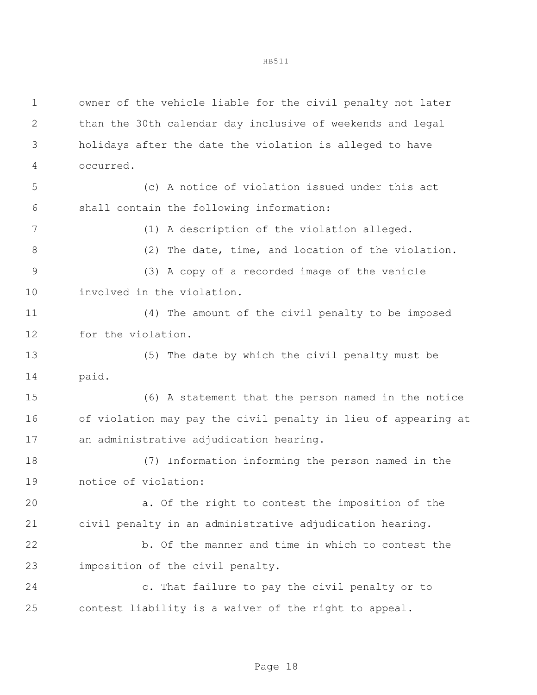owner of the vehicle liable for the civil penalty not later than the 30th calendar day inclusive of weekends and legal holidays after the date the violation is alleged to have occurred. (c) A notice of violation issued under this act shall contain the following information: (1) A description of the violation alleged. (2) The date, time, and location of the violation. (3) A copy of a recorded image of the vehicle involved in the violation. (4) The amount of the civil penalty to be imposed for the violation. (5) The date by which the civil penalty must be paid. (6) A statement that the person named in the notice of violation may pay the civil penalty in lieu of appearing at an administrative adjudication hearing. (7) Information informing the person named in the notice of violation: a. Of the right to contest the imposition of the civil penalty in an administrative adjudication hearing. b. Of the manner and time in which to contest the imposition of the civil penalty. c. That failure to pay the civil penalty or to contest liability is a waiver of the right to appeal.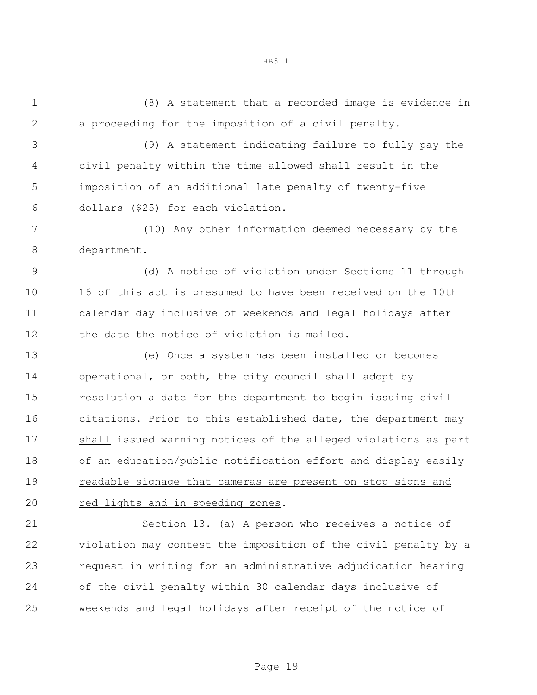(8) A statement that a recorded image is evidence in a proceeding for the imposition of a civil penalty.

 (9) A statement indicating failure to fully pay the civil penalty within the time allowed shall result in the imposition of an additional late penalty of twenty-five dollars (\$25) for each violation.

 (10) Any other information deemed necessary by the department.

 (d) A notice of violation under Sections 11 through 16 of this act is presumed to have been received on the 10th calendar day inclusive of weekends and legal holidays after the date the notice of violation is mailed.

 (e) Once a system has been installed or becomes operational, or both, the city council shall adopt by resolution a date for the department to begin issuing civil 16 citations. Prior to this established date, the department may shall issued warning notices of the alleged violations as part of an education/public notification effort and display easily readable signage that cameras are present on stop signs and red lights and in speeding zones.

 Section 13. (a) A person who receives a notice of violation may contest the imposition of the civil penalty by a request in writing for an administrative adjudication hearing of the civil penalty within 30 calendar days inclusive of weekends and legal holidays after receipt of the notice of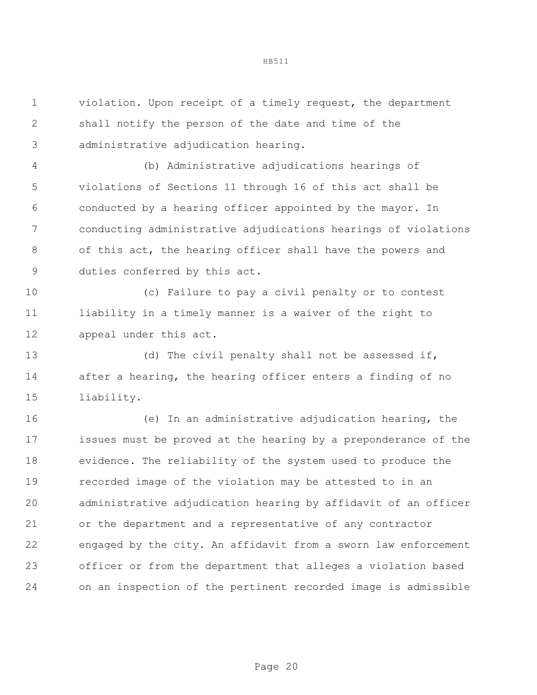violation. Upon receipt of a timely request, the department shall notify the person of the date and time of the administrative adjudication hearing.

 (b) Administrative adjudications hearings of violations of Sections 11 through 16 of this act shall be conducted by a hearing officer appointed by the mayor. In conducting administrative adjudications hearings of violations of this act, the hearing officer shall have the powers and duties conferred by this act.

 (c) Failure to pay a civil penalty or to contest liability in a timely manner is a waiver of the right to appeal under this act.

13 (d) The civil penalty shall not be assessed if, after a hearing, the hearing officer enters a finding of no liability.

 (e) In an administrative adjudication hearing, the issues must be proved at the hearing by a preponderance of the evidence. The reliability of the system used to produce the recorded image of the violation may be attested to in an administrative adjudication hearing by affidavit of an officer or the department and a representative of any contractor engaged by the city. An affidavit from a sworn law enforcement officer or from the department that alleges a violation based on an inspection of the pertinent recorded image is admissible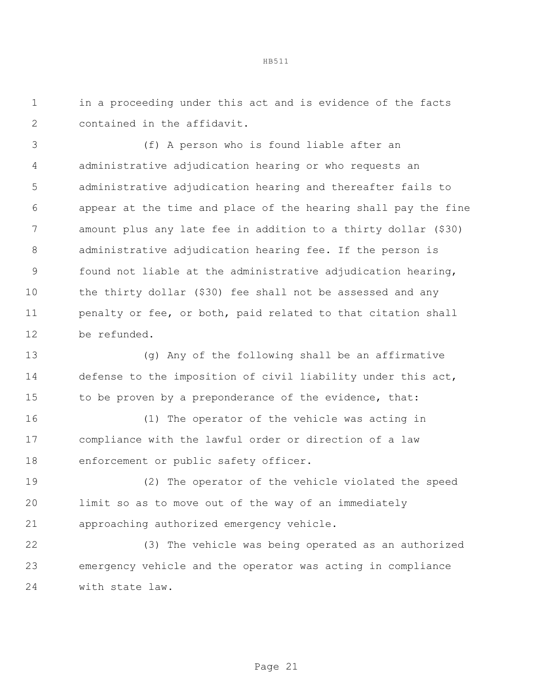in a proceeding under this act and is evidence of the facts contained in the affidavit.

 (f) A person who is found liable after an administrative adjudication hearing or who requests an administrative adjudication hearing and thereafter fails to appear at the time and place of the hearing shall pay the fine amount plus any late fee in addition to a thirty dollar (\$30) administrative adjudication hearing fee. If the person is found not liable at the administrative adjudication hearing, the thirty dollar (\$30) fee shall not be assessed and any 11 penalty or fee, or both, paid related to that citation shall be refunded.

 (g) Any of the following shall be an affirmative defense to the imposition of civil liability under this act, 15 to be proven by a preponderance of the evidence, that:

 (1) The operator of the vehicle was acting in compliance with the lawful order or direction of a law enforcement or public safety officer.

 (2) The operator of the vehicle violated the speed limit so as to move out of the way of an immediately approaching authorized emergency vehicle.

 (3) The vehicle was being operated as an authorized emergency vehicle and the operator was acting in compliance with state law.

Page 21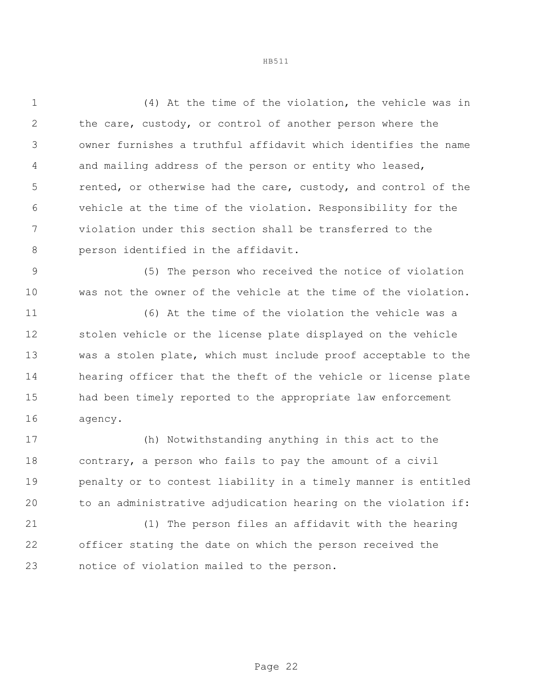(4) At the time of the violation, the vehicle was in the care, custody, or control of another person where the owner furnishes a truthful affidavit which identifies the name and mailing address of the person or entity who leased, rented, or otherwise had the care, custody, and control of the vehicle at the time of the violation. Responsibility for the violation under this section shall be transferred to the person identified in the affidavit.

 (5) The person who received the notice of violation was not the owner of the vehicle at the time of the violation.

 (6) At the time of the violation the vehicle was a stolen vehicle or the license plate displayed on the vehicle was a stolen plate, which must include proof acceptable to the hearing officer that the theft of the vehicle or license plate had been timely reported to the appropriate law enforcement agency.

 (h) Notwithstanding anything in this act to the contrary, a person who fails to pay the amount of a civil penalty or to contest liability in a timely manner is entitled to an administrative adjudication hearing on the violation if:

 (1) The person files an affidavit with the hearing officer stating the date on which the person received the notice of violation mailed to the person.

Page 22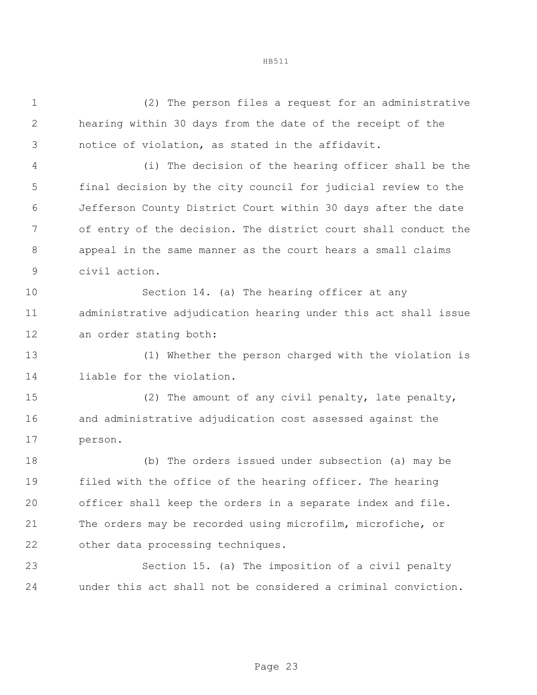(2) The person files a request for an administrative hearing within 30 days from the date of the receipt of the notice of violation, as stated in the affidavit.

 (i) The decision of the hearing officer shall be the final decision by the city council for judicial review to the Jefferson County District Court within 30 days after the date of entry of the decision. The district court shall conduct the appeal in the same manner as the court hears a small claims civil action.

 Section 14. (a) The hearing officer at any administrative adjudication hearing under this act shall issue an order stating both:

 (1) Whether the person charged with the violation is liable for the violation.

 (2) The amount of any civil penalty, late penalty, and administrative adjudication cost assessed against the person.

 (b) The orders issued under subsection (a) may be filed with the office of the hearing officer. The hearing officer shall keep the orders in a separate index and file. The orders may be recorded using microfilm, microfiche, or other data processing techniques.

 Section 15. (a) The imposition of a civil penalty under this act shall not be considered a criminal conviction.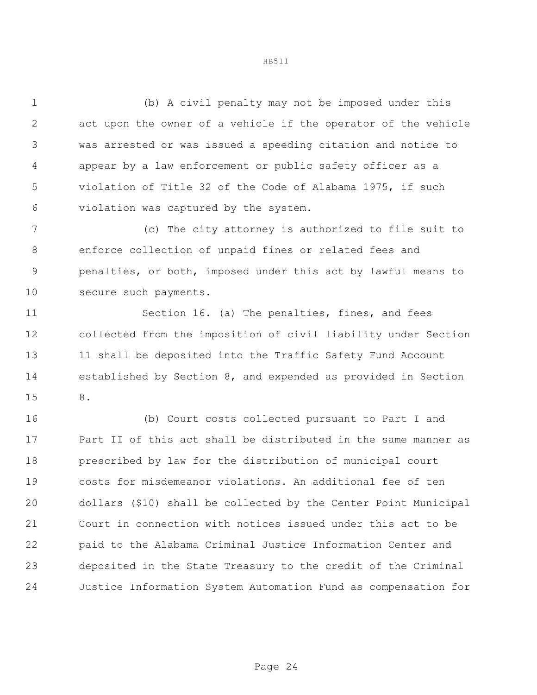(b) A civil penalty may not be imposed under this act upon the owner of a vehicle if the operator of the vehicle was arrested or was issued a speeding citation and notice to appear by a law enforcement or public safety officer as a violation of Title 32 of the Code of Alabama 1975, if such violation was captured by the system.

 (c) The city attorney is authorized to file suit to enforce collection of unpaid fines or related fees and penalties, or both, imposed under this act by lawful means to secure such payments.

 Section 16. (a) The penalties, fines, and fees collected from the imposition of civil liability under Section 13 11 shall be deposited into the Traffic Safety Fund Account established by Section 8, and expended as provided in Section 8.

 (b) Court costs collected pursuant to Part I and Part II of this act shall be distributed in the same manner as prescribed by law for the distribution of municipal court costs for misdemeanor violations. An additional fee of ten dollars (\$10) shall be collected by the Center Point Municipal Court in connection with notices issued under this act to be paid to the Alabama Criminal Justice Information Center and deposited in the State Treasury to the credit of the Criminal Justice Information System Automation Fund as compensation for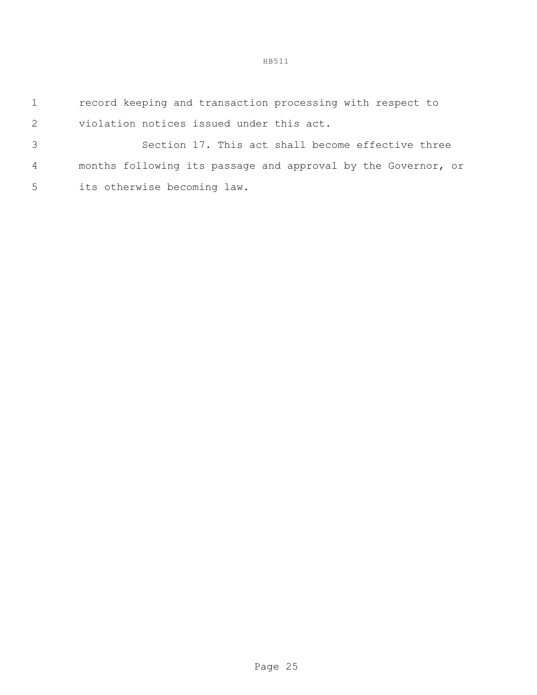record keeping and transaction processing with respect to violation notices issued under this act.

 Section 17. This act shall become effective three months following its passage and approval by the Governor, or its otherwise becoming law.